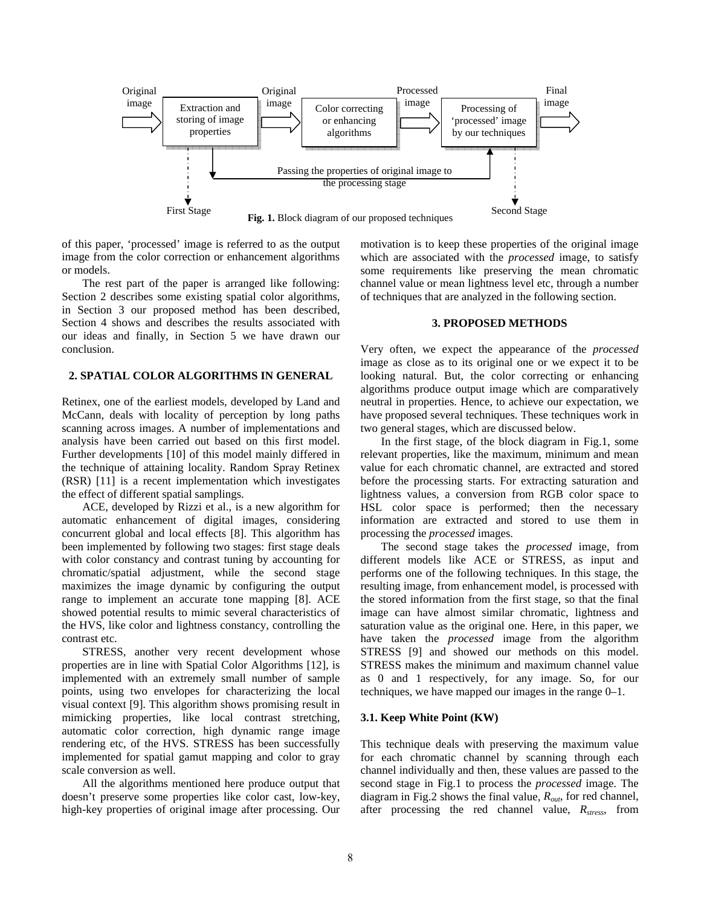

of this paper, 'processed' image is referred to as the output image from the color correction or enhancement algorithms or models.

The rest part of the paper is arranged like following: Section 2 describes some existing spatial color algorithms, in Section 3 our proposed method has been described, Section 4 shows and describes the results associated with our ideas and finally, in Section 5 we have drawn our conclusion.

## **2. SPATIAL COLOR ALGORITHMS IN GENERAL**

Retinex, one of the earliest models, developed by Land and McCann, deals with locality of perception by long paths scanning across images. A number of implementations and analysis have been carried out based on this first model. Further developments [10] of this model mainly differed in the technique of attaining locality. Random Spray Retinex (RSR) [11] is a recent implementation which investigates the effect of different spatial samplings.

ACE, developed by Rizzi et al., is a new algorithm for automatic enhancement of digital images, considering concurrent global and local effects [8]. This algorithm has been implemented by following two stages: first stage deals with color constancy and contrast tuning by accounting for chromatic/spatial adjustment, while the second stage maximizes the image dynamic by configuring the output range to implement an accurate tone mapping [8]. ACE showed potential results to mimic several characteristics of the HVS, like color and lightness constancy, controlling the contrast etc.

STRESS, another very recent development whose properties are in line with Spatial Color Algorithms [12], is implemented with an extremely small number of sample points, using two envelopes for characterizing the local visual context [9]. This algorithm shows promising result in mimicking properties, like local contrast stretching, automatic color correction, high dynamic range image rendering etc, of the HVS. STRESS has been successfully implemented for spatial gamut mapping and color to gray scale conversion as well.

All the algorithms mentioned here produce output that doesn't preserve some properties like color cast, low-key, high-key properties of original image after processing. Our motivation is to keep these properties of the original image which are associated with the *processed* image, to satisfy some requirements like preserving the mean chromatic channel value or mean lightness level etc, through a number of techniques that are analyzed in the following section.

### **3. PROPOSED METHODS**

Very often, we expect the appearance of the *processed* image as close as to its original one or we expect it to be looking natural. But, the color correcting or enhancing algorithms produce output image which are comparatively neutral in properties. Hence, to achieve our expectation, we have proposed several techniques. These techniques work in two general stages, which are discussed below.

In the first stage, of the block diagram in Fig.1, some relevant properties, like the maximum, minimum and mean value for each chromatic channel, are extracted and stored before the processing starts. For extracting saturation and lightness values, a conversion from RGB color space to HSL color space is performed; then the necessary information are extracted and stored to use them in processing the *processed* images.

The second stage takes the *processed* image, from different models like ACE or STRESS, as input and performs one of the following techniques. In this stage, the resulting image, from enhancement model, is processed with the stored information from the first stage, so that the final image can have almost similar chromatic, lightness and saturation value as the original one. Here, in this paper, we have taken the *processed* image from the algorithm STRESS [9] and showed our methods on this model. STRESS makes the minimum and maximum channel value as 0 and 1 respectively, for any image. So, for our techniques, we have mapped our images in the range 0–1.

## **3.1. Keep White Point (KW)**

This technique deals with preserving the maximum value for each chromatic channel by scanning through each channel individually and then, these values are passed to the second stage in Fig.1 to process the *processed* image. The diagram in Fig.2 shows the final value, *Rout*, for red channel, after processing the red channel value,  $R_{stress}$ , from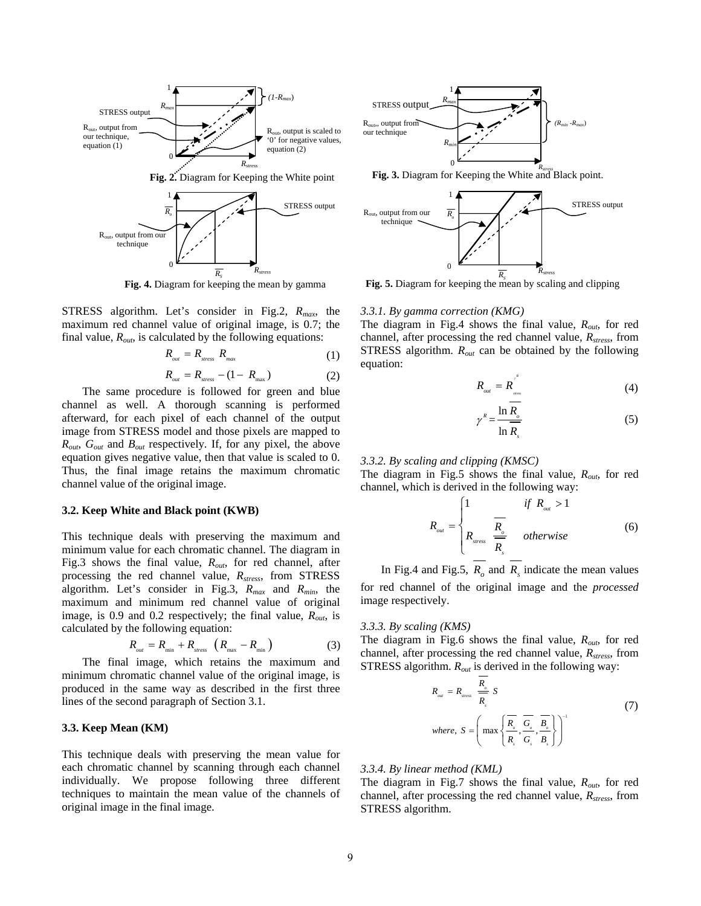

STRESS algorithm. Let's consider in Fig.2, *Rmax*, the maximum red channel value of original image, is 0.7; the final value,  $R_{out}$ , is calculated by the following equations:

$$
R_{_{out}} = R_{_{stress}} R_{_{max}} \tag{1}
$$

$$
R_{out} = R_{stress} - (1 - R_{max})
$$
 (2)

The same procedure is followed for green and blue channel as well. A thorough scanning is performed afterward, for each pixel of each channel of the output image from STRESS model and those pixels are mapped to *Rout*, *Gout* and *Bout* respectively. If, for any pixel, the above equation gives negative value, then that value is scaled to 0. Thus, the final image retains the maximum chromatic channel value of the original image.

## **3.2. Keep White and Black point (KWB)**

This technique deals with preserving the maximum and minimum value for each chromatic channel. The diagram in Fig.3 shows the final value, *Rout*, for red channel, after processing the red channel value, *Rstress*, from STRESS algorithm. Let's consider in Fig.3, *Rmax* and *Rmin*, the maximum and minimum red channel value of original image, is 0.9 and 0.2 respectively; the final value, *Rout*, is calculated by the following equation:

$$
R_{_{out}} = R_{_{min}} + R_{_{stress}} \left( R_{_{max}} - R_{_{min}} \right) \tag{3}
$$

The final image, which retains the maximum and minimum chromatic channel value of the original image, is produced in the same way as described in the first three lines of the second paragraph of Section 3.1.

## **3.3. Keep Mean (KM)**

This technique deals with preserving the mean value for each chromatic channel by scanning through each channel individually. We propose following three different techniques to maintain the mean value of the channels of original image in the final image.





**Fig. 5.** Diagram for keeping the mean by scaling and clipping

#### *3.3.1. By gamma correction (KMG)*

The diagram in Fig.4 shows the final value, *Rout*, for red channel, after processing the red channel value,  $R_{stress}$ , from STRESS algorithm. *Rout* can be obtained by the following equation:

$$
R_{_{out}} = R_{_{s_{out}}}^{^{r^*}} \tag{4}
$$

$$
\gamma^R = \frac{\ln R_o}{\ln R_s} \tag{5}
$$

#### *3.3.2. By scaling and clipping (KMSC)*

The diagram in Fig.5 shows the final value, *Rout*, for red channel, which is derived in the following way:

$$
R_{_{out}} = \begin{cases} 1 & \text{if } R_{_{out}} > 1 \\ R_{_{stress}} & \frac{R_{_{o}}}{R_{_{s}}} \\ \end{cases} \quad \text{otherwise} \tag{6}
$$

In Fig.4 and Fig.5,  $R_{\rho}$  and  $R_{\rho}$  indicate the mean values for red channel of the original image and the *processed* image respectively.

#### *3.3.3. By scaling (KMS)*

The diagram in Fig.6 shows the final value, *Rout*, for red channel, after processing the red channel value,  $R_{stress}$ , from STRESS algorithm. *Rout* is derived in the following way:

$$
R_{out} = R_{itress} \frac{R_{o}}{\overline{R}_{s}} S
$$
 (7)  
where, 
$$
S = \left( \max \left\{ \frac{\overline{R}_{o}}{\overline{R}_{s}} , \frac{\overline{G}_{o}}{\overline{G}_{s}} , \frac{\overline{B}_{o}}{\overline{B}_{s}} \right\} \right)^{-1}
$$

#### *3.3.4. By linear method (KML)*

The diagram in Fig.7 shows the final value, *Rout*, for red channel, after processing the red channel value,  $R_{stress}$ , from STRESS algorithm.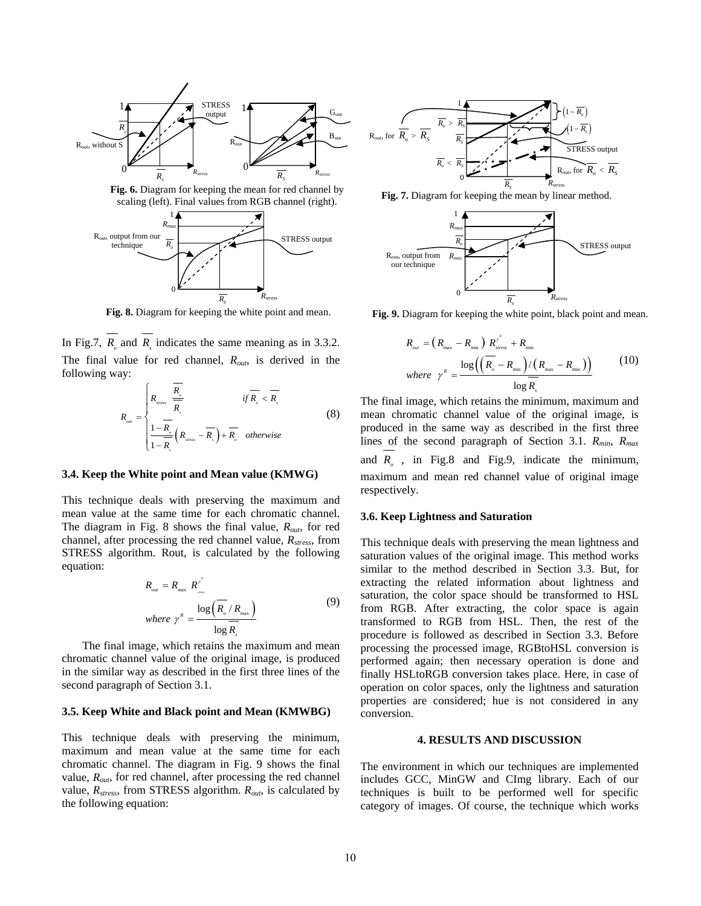

**Fig. 6.** Diagram for keeping the mean for red channel by scaling (left). Final values from RGB channel (right). **Fig. 7.** Diagram for keeping the mean by linear method.



In Fig.7,  $R_a$  and  $R_f$  indicates the same meaning as in 3.3.2. The final value for red channel, *Rout*, is derived in the following way:

$$
R_{out} = \begin{cases} R_{atens} & \text{if } R_{s} < R_{s} \\ \frac{1 - R_{s}}{1 - R_{s}} \left( R_{atens} - R_{s} \right) + R_{s} & \text{otherwise} \end{cases}
$$
(8)

#### **3.4. Keep the White point and Mean value (KMWG)**

This technique deals with preserving the maximum and mean value at the same time for each chromatic channel. The diagram in Fig. 8 shows the final value, *Rout*, for red channel, after processing the red channel value,  $R_{stress}$ , from STRESS algorithm. Rout, is calculated by the following equation:

$$
R_{\text{out}} = R_{\text{max}} R^{\gamma^*}
$$
  
where  $\gamma^R = \frac{\log\left(\overline{R_{\text{o}}}/R_{\text{max}}\right)}{\log\overline{R_{\text{s}}}}$  (9)

The final image, which retains the maximum and mean chromatic channel value of the original image, is produced in the similar way as described in the first three lines of the second paragraph of Section 3.1.

### **3.5. Keep White and Black point and Mean (KMWBG)**

This technique deals with preserving the minimum, maximum and mean value at the same time for each chromatic channel. The diagram in Fig. 9 shows the final value, *Rout*, for red channel, after processing the red channel value, *Rstress*, from STRESS algorithm. *Rout*, is calculated by the following equation:





**Fig. 8.** Diagram for keeping the white point and mean. **Fig. 9.** Diagram for keeping the white point, black point and mean.

$$
R_{\text{out}} = \left(R_{\text{max}} - R_{\text{min}}\right) R_{\text{stress}}^{\gamma^*} + R_{\text{min}}
$$
\n
$$
\text{where } \gamma^{\kappa} = \frac{\log\left(\left(R_{\text{in}} - R_{\text{min}}\right) / \left(R_{\text{max}} - R_{\text{min}}\right)\right)}{\log R_{\text{s}}}
$$
\n(10)

The final image, which retains the minimum, maximum and mean chromatic channel value of the original image, is produced in the same way as described in the first three lines of the second paragraph of Section 3.1. *Rmin*, *Rmax* and  $R_a$ , in Fig.8 and Fig.9, indicate the minimum, maximum and mean red channel value of original image respectively.

## **3.6. Keep Lightness and Saturation**

This technique deals with preserving the mean lightness and saturation values of the original image. This method works similar to the method described in Section 3.3. But, for extracting the related information about lightness and saturation, the color space should be transformed to HSL from RGB. After extracting, the color space is again transformed to RGB from HSL. Then, the rest of the procedure is followed as described in Section 3.3. Before processing the processed image, RGBtoHSL conversion is performed again; then necessary operation is done and finally HSLtoRGB conversion takes place. Here, in case of operation on color spaces, only the lightness and saturation properties are considered; hue is not considered in any conversion.

## **4. RESULTS AND DISCUSSION**

The environment in which our techniques are implemented includes GCC, MinGW and CImg library. Each of our techniques is built to be performed well for specific category of images. Of course, the technique which works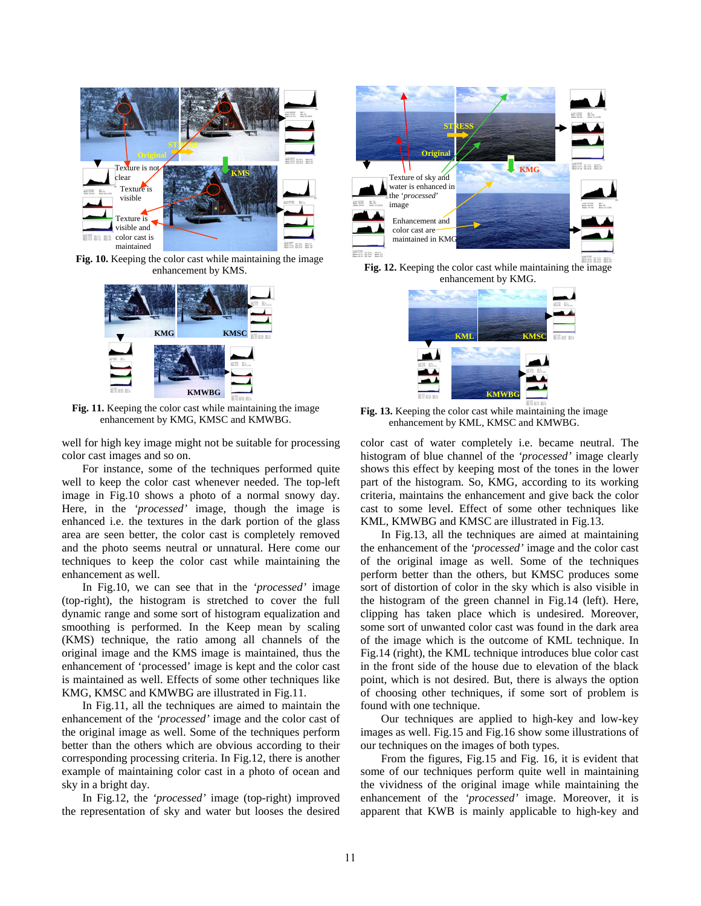

**Fig. 10.** Keeping the color cast while maintaining the image enhancement by KMS.



Fig. 11. Keeping the color cast while maintaining the image enhancement by KMG, KMSC and KMWBG.

well for high key image might not be suitable for processing color cast images and so on.

For instance, some of the techniques performed quite well to keep the color cast whenever needed. The top-left image in Fig.10 shows a photo of a normal snowy day. Here, in the *'processed'* image, though the image is enhanced i.e. the textures in the dark portion of the glass area are seen better, the color cast is completely removed and the photo seems neutral or unnatural. Here come our techniques to keep the color cast while maintaining the enhancement as well.

In Fig.10, we can see that in the *'processed'* image (top-right), the histogram is stretched to cover the full dynamic range and some sort of histogram equalization and smoothing is performed. In the Keep mean by scaling (KMS) technique, the ratio among all channels of the original image and the KMS image is maintained, thus the enhancement of 'processed' image is kept and the color cast is maintained as well. Effects of some other techniques like KMG, KMSC and KMWBG are illustrated in Fig.11.

In Fig.11, all the techniques are aimed to maintain the enhancement of the *'processed'* image and the color cast of the original image as well. Some of the techniques perform better than the others which are obvious according to their corresponding processing criteria. In Fig.12, there is another example of maintaining color cast in a photo of ocean and sky in a bright day.

In Fig.12, the *'processed'* image (top-right) improved the representation of sky and water but looses the desired



**Fig. 12.** Keeping the color cast while maintaining the image enhancement by KMG.



**Fig. 13.** Keeping the color cast while maintaining the image enhancement by KML, KMSC and KMWBG.

color cast of water completely i.e. became neutral. The histogram of blue channel of the *'processed'* image clearly shows this effect by keeping most of the tones in the lower part of the histogram. So, KMG, according to its working criteria, maintains the enhancement and give back the color cast to some level. Effect of some other techniques like KML, KMWBG and KMSC are illustrated in Fig.13.

In Fig.13, all the techniques are aimed at maintaining the enhancement of the *'processed'* image and the color cast of the original image as well. Some of the techniques perform better than the others, but KMSC produces some sort of distortion of color in the sky which is also visible in the histogram of the green channel in Fig.14 (left). Here, clipping has taken place which is undesired. Moreover, some sort of unwanted color cast was found in the dark area of the image which is the outcome of KML technique. In Fig.14 (right), the KML technique introduces blue color cast in the front side of the house due to elevation of the black point, which is not desired. But, there is always the option of choosing other techniques, if some sort of problem is found with one technique.

Our techniques are applied to high-key and low-key images as well. Fig.15 and Fig.16 show some illustrations of our techniques on the images of both types.

From the figures, Fig.15 and Fig. 16, it is evident that some of our techniques perform quite well in maintaining the vividness of the original image while maintaining the enhancement of the *'processed'* image. Moreover, it is apparent that KWB is mainly applicable to high-key and